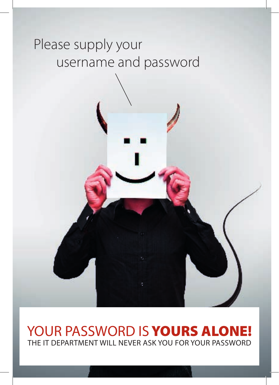### Please supply your username and password

#### YOUR PASSWORD IS YOURS ALONE! THE IT DEPARTMENT WILL NEVER ASK YOU FOR YOUR PASSWORD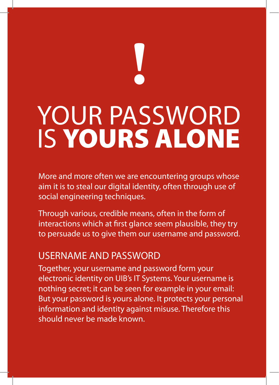# **!** YOUR PASSWORD IS YOURS ALONE

More and more often we are encountering groups whose aim it is to steal our digital identity, often through use of social engineering techniques.

Through various, credible means, often in the form of interactions which at first glance seem plausible, they try to persuade us to give them our username and password.

#### USERNAME AND PASSWORD

Together, your username and password form your electronic identity on UIB's IT Systems. Your username is nothing secret; it can be seen for example in your email: But your password is yours alone. It protects your personal information and identity against misuse. Therefore this should never be made known.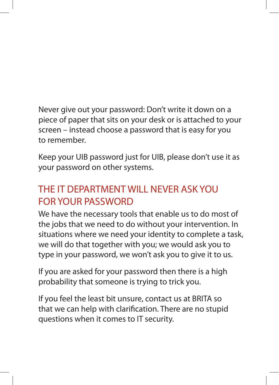Never give out your password: Don't write it down on a piece of paper that sits on your desk or is attached to your screen – instead choose a password that is easy for you to remember.

Keep your UIB password just for UIB, please don't use it as your password on other systems.

#### THE IT DEPARTMENT WILL NEVER ASK YOU FOR YOUR PASSWORD

We have the necessary tools that enable us to do most of the jobs that we need to do without your intervention. In situations where we need your identity to complete a task, we will do that together with you; we would ask you to type in your password, we won't ask you to give it to us.

If you are asked for your password then there is a high probability that someone is trying to trick you.

If you feel the least bit unsure, contact us at BRITA so that we can help with clarification. There are no stupid questions when it comes to IT security.